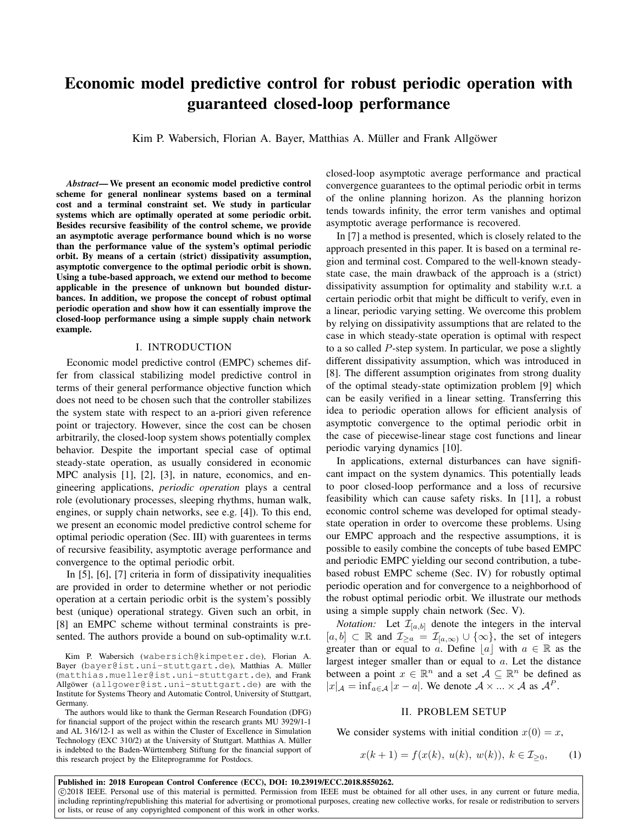# Economic model predictive control for robust periodic operation with guaranteed closed-loop performance

Kim P. Wabersich, Florian A. Bayer, Matthias A. Müller and Frank Allgöwer

*Abstract*— We present an economic model predictive control scheme for general nonlinear systems based on a terminal cost and a terminal constraint set. We study in particular systems which are optimally operated at some periodic orbit. Besides recursive feasibility of the control scheme, we provide an asymptotic average performance bound which is no worse than the performance value of the system's optimal periodic orbit. By means of a certain (strict) dissipativity assumption, asymptotic convergence to the optimal periodic orbit is shown. Using a tube-based approach, we extend our method to become applicable in the presence of unknown but bounded disturbances. In addition, we propose the concept of robust optimal periodic operation and show how it can essentially improve the closed-loop performance using a simple supply chain network example.

### I. INTRODUCTION

Economic model predictive control (EMPC) schemes differ from classical stabilizing model predictive control in terms of their general performance objective function which does not need to be chosen such that the controller stabilizes the system state with respect to an a-priori given reference point or trajectory. However, since the cost can be chosen arbitrarily, the closed-loop system shows potentially complex behavior. Despite the important special case of optimal steady-state operation, as usually considered in economic MPC analysis [1], [2], [3], in nature, economics, and engineering applications, *periodic operation* plays a central role (evolutionary processes, sleeping rhythms, human walk, engines, or supply chain networks, see e.g. [4]). To this end, we present an economic model predictive control scheme for optimal periodic operation (Sec. III) with guarentees in terms of recursive feasibility, asymptotic average performance and convergence to the optimal periodic orbit.

In [5], [6], [7] criteria in form of dissipativity inequalities are provided in order to determine whether or not periodic operation at a certain periodic orbit is the system's possibly best (unique) operational strategy. Given such an orbit, in [8] an EMPC scheme without terminal constraints is presented. The authors provide a bound on sub-optimality w.r.t.

Kim P. Wabersich (wabersich@kimpeter.de), Florian A. Bayer (bayer@ist.uni-stuttgart.de), Matthias A. Müller (matthias.mueller@ist.uni-stuttgart.de), and Frank Allgöwer (allgower@ist.uni-stuttgart.de) are with the Institute for Systems Theory and Automatic Control, University of Stuttgart, Germany.

The authors would like to thank the German Research Foundation (DFG) for financial support of the project within the research grants MU 3929/1-1 and AL 316/12-1 as well as within the Cluster of Excellence in Simulation Technology (EXC 310/2) at the University of Stuttgart. Matthias A. Müller is indebted to the Baden-Württemberg Stiftung for the financial support of this research project by the Eliteprogramme for Postdocs.

or lists, or reuse of any copyrighted component of this work in other works.

closed-loop asymptotic average performance and practical convergence guarantees to the optimal periodic orbit in terms of the online planning horizon. As the planning horizon tends towards infinity, the error term vanishes and optimal asymptotic average performance is recovered.

In [7] a method is presented, which is closely related to the approach presented in this paper. It is based on a terminal region and terminal cost. Compared to the well-known steadystate case, the main drawback of the approach is a (strict) dissipativity assumption for optimality and stability w.r.t. a certain periodic orbit that might be difficult to verify, even in a linear, periodic varying setting. We overcome this problem by relying on dissipativity assumptions that are related to the case in which steady-state operation is optimal with respect to a so called P-step system. In particular, we pose a slightly different dissipativity assumption, which was introduced in [8]. The different assumption originates from strong duality of the optimal steady-state optimization problem [9] which can be easily verified in a linear setting. Transferring this idea to periodic operation allows for efficient analysis of asymptotic convergence to the optimal periodic orbit in the case of piecewise-linear stage cost functions and linear periodic varying dynamics [10].

In applications, external disturbances can have significant impact on the system dynamics. This potentially leads to poor closed-loop performance and a loss of recursive feasibility which can cause safety risks. In [11], a robust economic control scheme was developed for optimal steadystate operation in order to overcome these problems. Using our EMPC approach and the respective assumptions, it is possible to easily combine the concepts of tube based EMPC and periodic EMPC yielding our second contribution, a tubebased robust EMPC scheme (Sec. IV) for robustly optimal periodic operation and for convergence to a neighborhood of the robust optimal periodic orbit. We illustrate our methods using a simple supply chain network (Sec. V).

*Notation:* Let  $\mathcal{I}_{[a,b]}$  denote the integers in the interval  $[a, b] \subset \mathbb{R}$  and  $\mathcal{I}_{\geq a} = \mathcal{I}_{[a,\infty)} \cup \{\infty\}$ , the set of integers greater than or equal to a. Define  $|a|$  with  $a \in \mathbb{R}$  as the largest integer smaller than or equal to a. Let the distance between a point  $x \in \mathbb{R}^n$  and a set  $\mathcal{A} \subseteq \mathbb{R}^n$  be defined as  $|x|_{\mathcal{A}} = \inf_{a \in \mathcal{A}} |x - a|$ . We denote  $\mathcal{A} \times ... \times \mathcal{A}$  as  $\mathcal{A}^P$ .

### II. PROBLEM SETUP

We consider systems with initial condition  $x(0) = x$ ,

$$
x(k+1) = f(x(k), u(k), w(k)), k \in \mathcal{I}_{\geq 0}, \qquad (1)
$$

Published in: 2018 European Control Conference (ECC), DOI: 10.23919/ECC.2018.8550262. c 2018 IEEE. Personal use of this material is permitted. Permission from IEEE must be obtained for all other uses, in any current or future media, including reprinting/republishing this material for advertising or promotional purposes, creating new collective works, for resale or redistribution to servers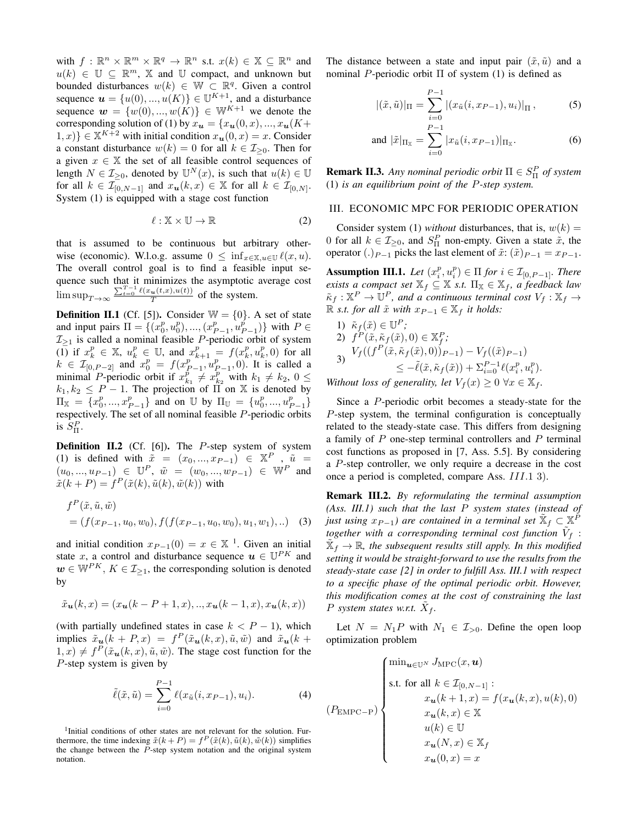with  $f: \mathbb{R}^n \times \mathbb{R}^m \times \mathbb{R}^q \to \mathbb{R}^n$  s.t.  $x(k) \in \mathbb{X} \subseteq \mathbb{R}^n$  and  $u(k) \in \mathbb{U} \subseteq \mathbb{R}^m$ , X and U compact, and unknown but bounded disturbances  $w(k) \in \mathbb{W} \subset \mathbb{R}^q$ . Given a control sequence  $\mathbf{u} = \{u(0), ..., u(K)\} \in \mathbb{U}^{K+1}$ , and a disturbance sequence  $\mathbf{w} = \{w(0), ..., w(K)\}\in \mathbb{W}^{K+1}$  we denote the corresponding solution of (1) by  $x_{u} = {x_{u}(0, x), ..., x_{u}(K+)}$  $[1, x] \in \mathbb{X}^{K+2}$  with initial condition  $x_{u}(0, x) = x$ . Consider a constant disturbance  $w(k) = 0$  for all  $k \in \mathcal{I}_{\geq 0}$ . Then for a given  $x \in \mathbb{X}$  the set of all feasible control sequences of length  $N \in \mathcal{I}_{\geq 0}$ , denoted by  $\mathbb{U}^N(x)$ , is such that  $u(k) \in \mathbb{U}$ for all  $k \in \mathcal{I}_{[0,N-1]}^-$  and  $x_{\mathbf{u}}(k,x) \in \mathbb{X}$  for all  $k \in \mathcal{I}_{[0,N]}$ . System (1) is equipped with a stage cost function

$$
\ell : \mathbb{X} \times \mathbb{U} \to \mathbb{R} \tag{2}
$$

that is assumed to be continuous but arbitrary otherwise (economic). W.l.o.g. assume  $0 \leq \inf_{x \in \mathbb{X}, u \in \mathbb{U}} \ell(x, u)$ . The overall control goal is to find a feasible input sequence such that it minimizes the asymptotic average cost  $\limsup_{T\to\infty} \frac{\sum_{t=0}^{T-1} \ell(x_u(t,x),u(t))}{T}$  of the system.

**Definition II.1** (Cf. [5]). Consider  $W = \{0\}$ . A set of state and input pairs  $\Pi = \{(x_0^p, u_0^p), ..., (x_{P-1}^p, u_{P-1}^p)\}\$  with  $P \in$  $\mathcal{I}_{\geq 1}$  is called a nominal feasible P-periodic orbit of system  $(\overline{1})$  if  $x_k^p \in \mathbb{X}$ ,  $u_k^p \in \mathbb{U}$ , and  $x_{k+1}^p = f(x_k^p, u_k^p, 0)$  for all  $k \in \mathcal{I}_{[0, P-2]}$  and  $x_0^p = f(x_{P-1}^{p^{n+1}}, u_{P-1}^p, 0)$ . It is called a minimal *P*-periodic orbit if  $x_{k_1}^p \neq x_{k_2}^p$  with  $k_1 \neq k_2$ ,  $0 \leq$  $k_1, k_2 \le P - 1$ . The projection of  $\Pi$  on X is denoted by  $\Pi_{\mathbb{X}} = \{x_0^p, ..., x_{P-1}^p\}$  and on U by  $\Pi_{\mathbb{U}} = \{u_0^p, ..., u_{P-1}^p\}$ respectively. The set of all nominal feasible P-periodic orbits is  $S^P_{\Pi}$ .

**Definition II.2** (Cf. [6]). The  $P$ -step system of system (1) is defined with  $\tilde{x} = (x_0, ..., x_{P-1}) \in \mathbb{X}^P$ ,  $\tilde{u} =$  $(u_0, ..., u_{P-1}) \in \mathbb{U}^P$ ,  $\tilde{w} = (w_0, ..., w_{P-1}) \in \mathbb{W}^P$  and  $\tilde{x}(k+P) = f^P(\tilde{x}(k), \tilde{u}(k), \tilde{w}(k))$  with

$$
f^{P}(\tilde{x}, \tilde{u}, \tilde{w}) = (f(x_{P-1}, u_0, w_0), f(f(x_{P-1}, u_0, w_0), u_1, w_1), ...)
$$
 (3)

and initial condition  $x_{P-1}(0) = x \in \mathbb{X}$ <sup>1</sup>. Given an initial state x, a control and disturbance sequence  $\mathbf{u} \in \mathbb{U}^{PK}$  and  $\mathbf{w} \in \mathbb{W}^{PK}$ ,  $K \in \mathcal{I}_{\geq 1}$ , the corresponding solution is denoted by

$$
\tilde{x}_{\mathbf{u}}(k,x) = (x_{\mathbf{u}}(k-P+1,x),..,x_{\mathbf{u}}(k-1,x),x_{\mathbf{u}}(k,x))
$$

(with partially undefined states in case  $k < P - 1$ ), which implies  $\tilde{x}_{u}(k + P, x) = f^{P}(\tilde{x}_{u}(k, x), \tilde{u}, \tilde{w})$  and  $\tilde{x}_{u}(k + P, x) = f^{P}(\tilde{x}_{u}(k, x), \tilde{u}, \tilde{w})$  $(1, x) \neq f^P(\tilde{x}_{\boldsymbol{u}}(k, x), \tilde{u}, \tilde{w})$ . The stage cost function for the P-step system is given by

$$
\tilde{\ell}(\tilde{x}, \tilde{u}) = \sum_{i=0}^{P-1} \ell(x_{\tilde{u}}(i, x_{P-1}), u_i).
$$
 (4)

<sup>1</sup>Initial conditions of other states are not relevant for the solution. Furthermore, the time indexing  $\tilde{x}(k+P) = f^P(\tilde{x}(k), \tilde{u}(k), \tilde{w}(k))$  simplifies the change between the P-step system notation and the original system notation.

The distance between a state and input pair  $(\tilde{x}, \tilde{u})$  and a nominal *P*-periodic orbit Π of system (1) is defined as

$$
|(\tilde{x}, \tilde{u})|_{\Pi} = \sum_{i=0}^{P-1} |(x_{\tilde{u}}(i, x_{P-1}), u_i)|_{\Pi},
$$
 (5)

and 
$$
|\tilde{x}|_{\Pi_{\mathbb{X}}} = \sum_{i=0}^{P-1} |x_{\tilde{u}}(i, x_{P-1})|_{\Pi_{\mathbb{X}}}.
$$
 (6)

**Remark Π.3.** *Any nominal periodic orbit* Π ∈  $S^P$  *of system* (1) *is an equilibrium point of the* P*-step system.*

## III. ECONOMIC MPC FOR PERIODIC OPERATION

Consider system (1) *without* disturbances, that is,  $w(k) =$ 0 for all  $k \in \mathcal{I}_{\geq 0}$ , and  $S_{\Pi}^{P}$  non-empty. Given a state  $\tilde{x}$ , the operator (.)<sub>P-1</sub> picks the last element of  $\tilde{x}$ :  $(\tilde{x})_{P-1} = x_{P-1}$ .

**Assumption III.1.** Let  $(x_i^p, u_i^p) \in \Pi$  for  $i \in \mathcal{I}_{[0, P-1]}$ . There *exists a compact set*  $\mathbb{X}_f \subseteq \mathbb{X}$  *s.t.*  $\Pi_{\mathbb{X}} \in \mathbb{X}_f$ *, a feedback law*  $\tilde{\kappa}_f : \mathbb{X}^P \to \mathbb{U}^P$ , and a continuous terminal cost  $V_f : \mathbb{X}_f \to$  $ℝ$  *s.t. for all*  $\tilde{x}$  *with*  $x_{P-1} ∈ ℚ$ *f it holds:* 

1) 
$$
\tilde{\kappa}_f(\tilde{x}) \in \mathbb{U}^P
$$
;  
\n2)  $f^P(\tilde{x}, \tilde{\kappa}_f(\tilde{x}), 0) \in \mathbb{X}_f^P$ ;  
\n3)  $V_f((f^P(\tilde{x}, \tilde{\kappa}_f(\tilde{x}), 0))_{P-1}) - V_f((\tilde{x})_{P-1})$   
\n $\leq -\tilde{\ell}(\tilde{x}, \tilde{\kappa}_f(\tilde{x})) + \sum_{i=0}^{P-1} \ell(x_i^p, u_i^p)$ .

*Without loss of generality, let*  $V_f(x) \geq 0 \ \forall x \in \mathbb{X}_f$ .

Since a P-periodic orbit becomes a steady-state for the P-step system, the terminal configuration is conceptually related to the steady-state case. This differs from designing a family of  $P$  one-step terminal controllers and  $P$  terminal cost functions as proposed in [7, Ass. 5.5]. By considering a P-step controller, we only require a decrease in the cost once a period is completed, compare Ass. III.1 3).

Remark III.2. *By reformulating the terminal assumption (Ass. III.1) such that the last* P *system states (instead of just using*  $x_{P-1}$ *) are contained in a terminal set*  $\mathbb{X}_f \subset \mathbb{X}^{\tilde{F}}$ together with a corresponding terminal cost function  $\tilde{V}_f$  :  $\tilde{\mathbb{X}}_f \to \mathbb{R}$ , the subsequent results still apply. In this modified *setting it would be straight-forward to use the results from the steady-state case [2] in order to fulfill Ass. III.1 with respect to a specific phase of the optimal periodic orbit. However, this modification comes at the cost of constraining the last*  $P$  system states w.r.t.  $\tilde{X}_f$ .

Let  $N = N_1P$  with  $N_1 \in \mathcal{I}_{>0}$ . Define the open loop optimization problem

$$
(P_{\text{EMPC-P}})\n\begin{cases}\n\min_{\mathbf{u} \in \mathbb{U}^N} J_{\text{MPC}}(x, \mathbf{u}) \\
\text{s.t. for all } k \in \mathcal{I}_{[0, N-1]}: \\
x_{\mathbf{u}}(k+1, x) = f(x_{\mathbf{u}}(k, x), u(k), 0) \\
x_{\mathbf{u}}(k, x) \in \mathbb{X} \\
u(k) \in \mathbb{U} \\
x_{\mathbf{u}}(N, x) \in \mathbb{X}_f \\
x_{\mathbf{u}}(0, x) = x\n\end{cases}
$$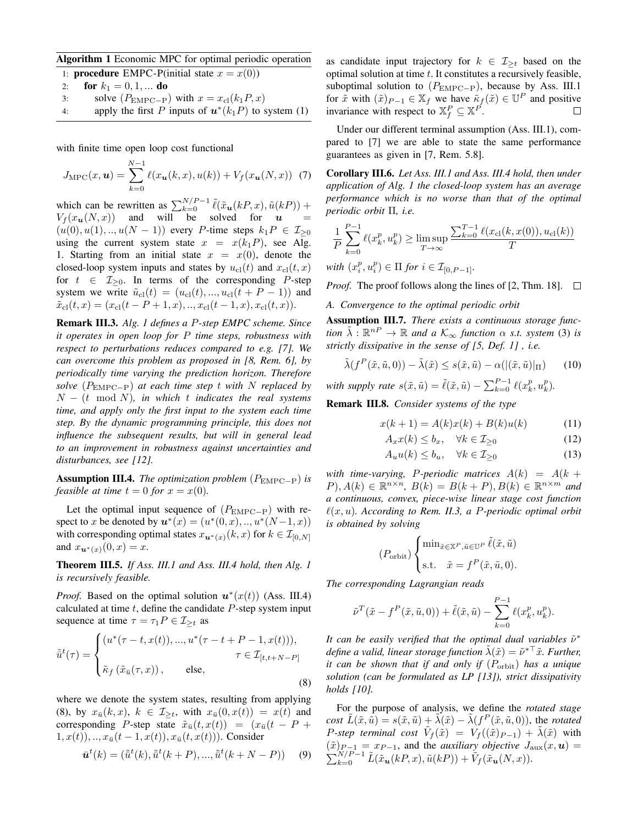Algorithm 1 Economic MPC for optimal periodic operation

1: **procedure** EMPC-P(initial state  $x = x(0)$ )

- 2: **for**  $k_1 = 0, 1, ...$  **do**
- 3: solve  $(P_{\text{EMPC}-P})$  with  $x = x_{\text{cl}}(k_1 P, x)$
- 4: apply the first P inputs of  $\mathbf{u}^*(k_1P)$  to system (1)

with finite time open loop cost functional

$$
J_{\rm MPC}(x, \boldsymbol{u}) = \sum_{k=0}^{N-1} \ell(x_{\boldsymbol{u}}(k, x), u(k)) + V_f(x_{\boldsymbol{u}}(N, x)) \tag{7}
$$

which can be rewritten as  $\sum_{k=0}^{N/P-1} \tilde{\ell}(\tilde{x}_{u}(kP, x), \tilde{u}(kP))$  +  $V_f(x_u(N, x))$  and will be solved for  $u =$  $(u(0), u(1), \ldots, u(N-1))$  every P-time steps  $k_1 P \in \mathcal{I}_{\geq 0}$ using the current system state  $x = x(k_1P)$ , see Alg. 1. Starting from an initial state  $x = x(0)$ , denote the closed-loop system inputs and states by  $u_{\text{cl}}(t)$  and  $x_{\text{cl}}(t, x)$ for  $t \in \mathcal{I}_{\geq 0}$ . In terms of the corresponding P-step system we write  $\tilde{u}_{\text{cl}}(t) = (u_{\text{cl}}(t), ..., u_{\text{cl}}(t + P - 1))$  and  $\tilde{x}_{\text{cl}}(t, x) = (x_{\text{cl}}(t - P + 1, x), \dots, x_{\text{cl}}(t - 1, x), x_{\text{cl}}(t, x)).$ 

Remark III.3. *Alg. 1 defines a* P*-step EMPC scheme. Since it operates in open loop for* P *time steps, robustness with respect to perturbations reduces compared to e.g. [7]. We can overcome this problem as proposed in [8, Rem. 6], by periodically time varying the prediction horizon. Therefore solve* (PEMPC−P) *at each time step* t *with* N *replaced by* N − (t mod N)*, in which* t *indicates the real systems time, and apply only the first input to the system each time step. By the dynamic programming principle, this does not influence the subsequent results, but will in general lead to an improvement in robustness against uncertainties and disturbances, see [12].*

Assumption III.4. *The optimization problem* (PEMPC−P) *is feasible at time*  $t = 0$  *for*  $x = x(0)$ *.* 

Let the optimal input sequence of  $(P_{\text{EMPC}-P})$  with respect to x be denoted by  $u^*(x) = (u^*(0, x), ..., u^*(N-1, x))$ with corresponding optimal states  $x_{u^*(x)}(k, x)$  for  $k \in \mathcal{I}_{[0,N]}$ and  $x_{u^*(x)}(0, x) = x$ .

Theorem III.5. *If Ass. III.1 and Ass. III.4 hold, then Alg. 1 is recursively feasible.*

*Proof.* Based on the optimal solution  $u^*(x(t))$  (Ass. III.4) calculated at time  $t$ , define the candidate  $P$ -step system input sequence at time  $\tau = \tau_1 P \in \mathcal{I}_{\geq t}$  as

$$
\tilde{u}^{t}(\tau) = \begin{cases}\n(u^{*}(\tau - t, x(t)), ..., u^{*}(\tau - t + P - 1, x(t))), \\
\tau \in \mathcal{I}_{[t, t+N-P]} \\
\tilde{\kappa}_{f}(\tilde{x}_{\bar{u}}(\tau, x)), \quad \text{else,} \n\end{cases}
$$
\n(8)

where we denote the system states, resulting from applying (8), by  $x_{\bar{u}}(k, x)$ ,  $k \in \mathcal{I}_{\geq t}$ , with  $x_{\bar{u}}(0, x(t)) = x(t)$  and corresponding P-step state  $\tilde{x}_{\bar{u}}(t, x(t)) = (x_{\bar{u}}(t - P +$  $(1, x(t)), \ldots, x_{\bar{u}}(t-1, x(t)), x_{\bar{u}}(t, x(t))).$  Consider

$$
\bar{u}^t(k) = (\tilde{u}^t(k), \tilde{u}^t(k+P), ..., \tilde{u}^t(k+N-P))
$$
 (9)

as candidate input trajectory for  $k \in \mathcal{I}_{\geq t}$  based on the optimal solution at time  $t$ . It constitutes a recursively feasible, suboptimal solution to  $(P_{EMPC-P})$ , because by Ass. III.1 for  $\tilde{x}$  with  $(\tilde{x})_{P-1} \in \mathbb{X}_f$  we have  $\tilde{\kappa}_f(\tilde{x}) \in \mathbb{U}^P$  and positive invariance with respect to  $\mathbb{X}_f^P \subseteq \mathbb{X}^{P}$ .

Under our different terminal assumption (Ass. III.1), compared to [7] we are able to state the same performance guarantees as given in [7, Rem. 5.8].

Corollary III.6. *Let Ass. III.1 and Ass. III.4 hold, then under application of Alg. 1 the closed-loop system has an average performance which is no worse than that of the optimal periodic orbit* Π*, i.e.*

$$
\frac{1}{P} \sum_{k=0}^{P-1} \ell(x_k^p, u_k^p) \ge \limsup_{T \to \infty} \frac{\sum_{k=0}^{T-1} \ell(x_{\text{cl}}(k, x(0)), u_{\text{cl}}(k))}{T}
$$

 $with (x_i^p, u_i^p) \in \Pi \text{ for } i \in \mathcal{I}_{[0, P-1]}.$ 

*Proof.* The proof follows along the lines of [2, Thm. 18].  $\Box$ 

*A. Convergence to the optimal periodic orbit*

Assumption III.7. *There exists a continuous storage function*  $\tilde{\lambda}$  :  $\mathbb{R}^{n} \to \mathbb{R}$  *and a*  $K_{\infty}$  *function*  $\alpha$  *s.t. system* (3) *is strictly dissipative in the sense of [5, Def. 1] , i.e.*

$$
\tilde{\lambda}(f^P(\tilde{x}, \tilde{u}, 0)) - \tilde{\lambda}(\tilde{x}) \le s(\tilde{x}, \tilde{u}) - \alpha(|(\tilde{x}, \tilde{u})|_{\Pi}) \qquad (10)
$$

*with supply rate*  $s(\tilde{x}, \tilde{u}) = \tilde{\ell}(\tilde{x}, \tilde{u}) - \sum_{k=0}^{P-1} \ell(x_k^p, u_k^p)$ .

Remark III.8. *Consider systems of the type*

$$
x(k+1) = A(k)x(k) + B(k)u(k)
$$
 (11)

$$
A_x x(k) \le b_x, \quad \forall k \in \mathcal{I}_{\ge 0} \tag{12}
$$

$$
A_u u(k) \le b_u, \quad \forall k \in \mathcal{I}_{\ge 0} \tag{13}
$$

*with time-varying, P-periodic matrices*  $A(k) = A(k +$  $(P), A(k) \in \mathbb{R}^{n \times n}, B(k) = B(k+P), B(k) \in \mathbb{R}^{n \times m}$  and *a continuous, convex, piece-wise linear stage cost function*  $\ell(x, u)$ . According to Rem. II.3, a P-periodic optimal orbit *is obtained by solving*

$$
P_{\text{orbit}}\bigg\{\begin{aligned}\n\min_{\tilde{x}\in\mathbb{X}^P, \tilde{u}\in\mathbb{U}^P} \tilde{\ell}(\tilde{x}, \tilde{u}) \\
\text{s.t.} \quad &\tilde{x} = f^P(\tilde{x}, \tilde{u}, 0).\n\end{aligned}\n\bigg\}
$$

*The corresponding Lagrangian reads*

 $($ 

$$
\tilde{\nu}^T(\tilde{x} - f^P(\tilde{x}, \tilde{u}, 0)) + \tilde{\ell}(\tilde{x}, \tilde{u}) - \sum_{k=0}^{P-1} \ell(x_k^p, u_k^p).
$$

It can be easily verified that the optimal dual variables  $\tilde{\nu}^*$ define a valid, linear storage function  $\tilde{\lambda}(\tilde{x}) = \tilde{\nu}^{*\top}\tilde{x}$ . Further, *it can be shown that if and only if*  $(P_{orbit})$  *has a unique solution (can be formulated as LP [13]), strict dissipativity holds [10].*

For the purpose of analysis, we define the *rotated stage cost*  $\tilde{L}(\tilde{x}, \tilde{u}) = s(\tilde{x}, \tilde{u}) + \tilde{\lambda}(\tilde{x}) - \tilde{\lambda}(f^P(\tilde{x}, \tilde{u}, 0)),$  the *rotated P-step terminal cost*  $\tilde{V}_f(\tilde{x}) = V_f((\tilde{x})_{P-1}) + \tilde{\lambda}(\tilde{x})$  with  $(\tilde{x})_{P-1} = x_{P-1}$ , and the *auxiliary objective*  $J_{\text{aux}}(x, u) =$  $\sum_{k=0}^{N/P-1} \tilde{L}(\tilde{x}_{\boldsymbol{u}}(kP, x), \tilde{u}(kP)) + \tilde{V}_f(\tilde{x}_{\boldsymbol{u}}(N, x)).$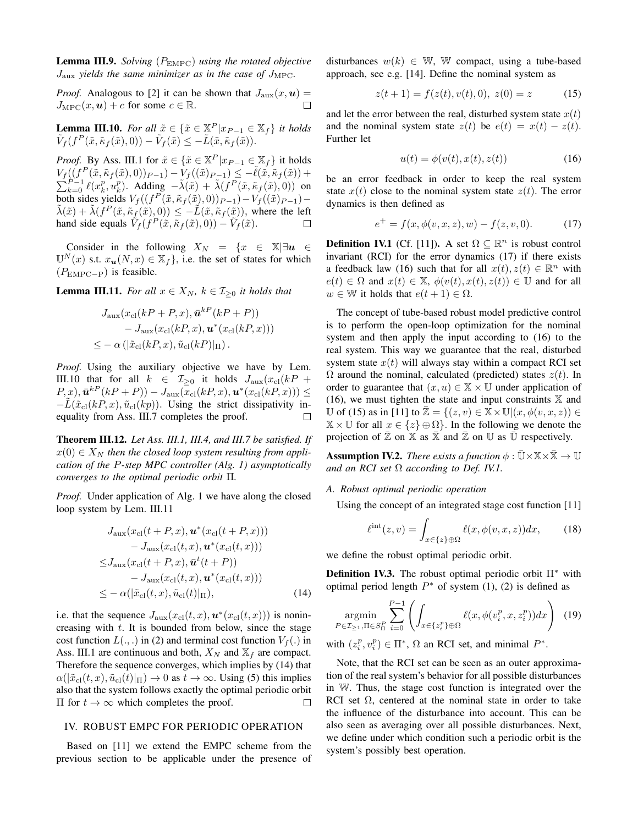Lemma III.9. *Solving* (PEMPC) *using the rotated objective*  $J_{\text{aux}}$  *yields the same minimizer as in the case of*  $J_{\text{MPC}}$ *.* 

*Proof.* Analogous to [2] it can be shown that  $J_{\text{aux}}(x, u) =$  $J_{\text{MPC}}(x, u) + c$  for some  $c \in \mathbb{R}$ .

**Lemma III.10.** For all  $\tilde{x} \in {\{\tilde{x} \in \mathbb{X}^P | x_{P-1} \in \mathbb{X}_f\}}$  it holds  $\tilde{V}_f(f^P(\tilde{x}, \tilde{\kappa}_f(\tilde{x}), 0)) - \tilde{V}_f(\tilde{x}) \leq -\tilde{L}(\tilde{x}, \tilde{\kappa}_f(\tilde{x})).$ 

*Proof.* By Ass. III.1 for  $\tilde{x} \in {\{\tilde{x} \in \mathbb{X}^P | x_{P-1} \in \mathbb{X}_f\}}$  it holds  $V_f((f^P(\tilde{x}, \tilde{\kappa}_f(\tilde{x}), 0))_{P-1}) - V_f((\tilde{x})_{P-1}) \leq -\tilde{\ell}$  $\sum$  $((\n\begin{array}{c}\n((f^P(\tilde{x}, \tilde{\kappa}_f(\tilde{x}), 0))_{P-1}) - V_f((\tilde{x})_{P-1}) \leq -\ell(\tilde{x}, \tilde{\kappa}_f(\tilde{x})) + \n\frac{P-1}{k=0} \ell(x_k^p, u_k^p). \end{array}$  Adding  $-\tilde{\lambda}(\tilde{x}) + \tilde{\lambda}(f^P(\tilde{x}, \tilde{\kappa}_f(\tilde{x}), 0))$  on both sides yields  $V_f((f^P(\tilde{x}, \tilde{\kappa}_f(\tilde{x}), 0))_{P-1}) - V_f((\tilde{x})_{P-1}) \tilde{\lambda}(\tilde{x}) + \tilde{\lambda}(f^P(\tilde{x}, \tilde{\kappa}_f(\tilde{x}), 0)) \leq -\tilde{L}(\tilde{x}, \tilde{\kappa}_f(\tilde{x})),$  where the left hand side equals  $V_f(f^P(\tilde{x}, \tilde{\kappa}_f(\tilde{x}), 0)) - V_f(\tilde{x})$ .

Consider in the following  $X_N = \{x \in \mathbb{X} | \exists u \in \mathbb{R} \}$  $\mathbb{U}^N(x)$  s.t.  $x_u(N, x) \in \mathbb{X}_f$ , i.e. the set of states for which  $(P_{\text{EMPC}-P})$  is feasible.

**Lemma III.11.** *For all*  $x \in X_N$ *,*  $k \in I_{\geq 0}$  *it holds that* 

$$
J_{\text{aux}}(x_{\text{cl}}(kP + P, x), \bar{\boldsymbol{u}}^{kP}(kP + P))
$$
  
- 
$$
J_{\text{aux}}(x_{\text{cl}}(kP, x), \boldsymbol{u}^*(x_{\text{cl}}(kP, x)))
$$
  

$$
\leq -\alpha \left( |\tilde{x}_{\text{cl}}(kP, x), \tilde{u}_{\text{cl}}(kP)|_{\Pi} \right).
$$

*Proof.* Using the auxiliary objective we have by Lem. III.10 that for all  $k \in \mathcal{I}_{\geq 0}$  it holds  $J_{\text{aux}}(x_{\text{cl}}(kP +$  $(P, x), \bar{\boldsymbol{u}}^{k}(\hat{k}P + P)) - J_{\text{aux}}(\overline{x}_{\text{cl}}(kP, x), \boldsymbol{u}^*(x_{\text{cl}}(kP, x))) \leq$  $-L(\tilde{x}_{\text{cl}}(kP, x), \tilde{u}_{\text{cl}}(kp))$ . Using the strict dissipativity inequality from Ass. III.7 completes the proof. П

Theorem III.12. *Let Ass. III.1, III.4, and III.7 be satisfied. If*  $x(0) \in X_N$  then the closed loop system resulting from appli*cation of the* P*-step MPC controller (Alg. 1) asymptotically converges to the optimal periodic orbit* Π*.*

*Proof.* Under application of Alg. 1 we have along the closed loop system by Lem. III.11

$$
J_{\text{aux}}(x_{\text{cl}}(t+P,x), \mathbf{u}^*(x_{\text{cl}}(t+P,x))) - J_{\text{aux}}(x_{\text{cl}}(t,x), \mathbf{u}^*(x_{\text{cl}}(t,x)))
$$
  

$$
\leq J_{\text{aux}}(x_{\text{cl}}(t+P,x), \bar{\mathbf{u}}^t(t+P)) - J_{\text{aux}}(x_{\text{cl}}(t,x), \mathbf{u}^*(x_{\text{cl}}(t,x)))
$$
  

$$
\leq -\alpha(|\tilde{x}_{\text{cl}}(t,x), \tilde{u}_{\text{cl}}(t)|_{\Pi}), \tag{14}
$$

i.e. that the sequence  $J_{\text{aux}}(x_{\text{cl}}(t,x), \boldsymbol{u}^*(x_{\text{cl}}(t,x)))$  is nonincreasing with  $t$ . It is bounded from below, since the stage cost function  $L(.,.)$  in (2) and terminal cost function  $V_f(.)$  in Ass. III.1 are continuous and both,  $X_N$  and  $X_f$  are compact. Therefore the sequence converges, which implies by (14) that  $\alpha(|\tilde{x}_{\text{cl}}(t, x), \tilde{u}_{\text{cl}}(t)|_{\Pi}) \rightarrow 0$  as  $t \rightarrow \infty$ . Using (5) this implies also that the system follows exactly the optimal periodic orbit  $\Pi$  for  $t \to ∞$  which completes the proof.  $\Box$ 

## IV. ROBUST EMPC FOR PERIODIC OPERATION

Based on [11] we extend the EMPC scheme from the previous section to be applicable under the presence of disturbances  $w(k) \in W$ , W compact, using a tube-based approach, see e.g. [14]. Define the nominal system as

$$
z(t+1) = f(z(t), v(t), 0), z(0) = z \tag{15}
$$

and let the error between the real, disturbed system state  $x(t)$ and the nominal system state  $z(t)$  be  $e(t) = x(t) - z(t)$ . Further let

$$
u(t) = \phi(v(t), x(t), z(t))\tag{16}
$$

be an error feedback in order to keep the real system state  $x(t)$  close to the nominal system state  $z(t)$ . The error dynamics is then defined as

$$
e^{+} = f(x, \phi(v, x, z), w) - f(z, v, 0). \tag{17}
$$

**Definition IV.1** (Cf. [11]). A set  $\Omega \subseteq \mathbb{R}^n$  is robust control invariant (RCI) for the error dynamics (17) if there exists a feedback law (16) such that for all  $x(t)$ ,  $z(t) \in \mathbb{R}^n$  with  $e(t) \in \Omega$  and  $x(t) \in \mathbb{X}$ ,  $\phi(v(t), x(t), z(t)) \in \mathbb{U}$  and for all  $w \in \mathbb{W}$  it holds that  $e(t+1) \in \Omega$ .

The concept of tube-based robust model predictive control is to perform the open-loop optimization for the nominal system and then apply the input according to (16) to the real system. This way we guarantee that the real, disturbed system state  $x(t)$  will always stay within a compact RCI set  $\Omega$  around the nominal, calculated (predicted) states  $z(t)$ . In order to guarantee that  $(x, u) \in \mathbb{X} \times \mathbb{U}$  under application of (16), we must tighten the state and input constraints  $X$  and U of (15) as in [11] to  $\overline{\mathbb{Z}} = \{(z, v) \in \mathbb{X} \times \mathbb{U} | (x, \phi(v, x, z)) \in$  $\mathbb{X} \times \mathbb{U}$  for all  $x \in \{z\} \oplus \Omega\}$ . In the following we denote the projection of  $\mathbb Z$  on  $\mathbb X$  as  $\mathbb X$  and  $\mathbb Z$  on U as U respectively.

**Assumption IV.2.** *There exists a function*  $\phi : \bar{\mathbb{U}} \times \mathbb{X} \times \bar{\mathbb{X}} \to \mathbb{U}$ *and an RCI set* Ω *according to Def. IV.1.*

*A. Robust optimal periodic operation*

Using the concept of an integrated stage cost function [11]

$$
\ell^{\rm int}(z,v) = \int_{x \in \{z\} \oplus \Omega} \ell(x,\phi(v,x,z)) dx, \qquad (18)
$$

we define the robust optimal periodic orbit.

**Definition IV.3.** The robust optimal periodic orbit  $\Pi^*$  with optimal period length  $P^*$  of system (1), (2) is defined as

$$
\underset{P \in \mathcal{I}_{\geq 1}, \Pi \in S_{\Pi}^{P}}{\text{argmin}} \sum_{i=0}^{P-1} \left( \int_{x \in \{z_{i}^{p}\} \oplus \Omega} \ell(x, \phi(v_{i}^{p}, x, z_{i}^{p})) dx \right) (19)
$$

with  $(z_i^p, v_i^p) \in \Pi^*$ ,  $\Omega$  an RCI set, and minimal  $P^*$ .

Note, that the RCI set can be seen as an outer approximation of the real system's behavior for all possible disturbances in W. Thus, the stage cost function is integrated over the RCI set  $\Omega$ , centered at the nominal state in order to take the influence of the disturbance into account. This can be also seen as averaging over all possible disturbances. Next, we define under which condition such a periodic orbit is the system's possibly best operation.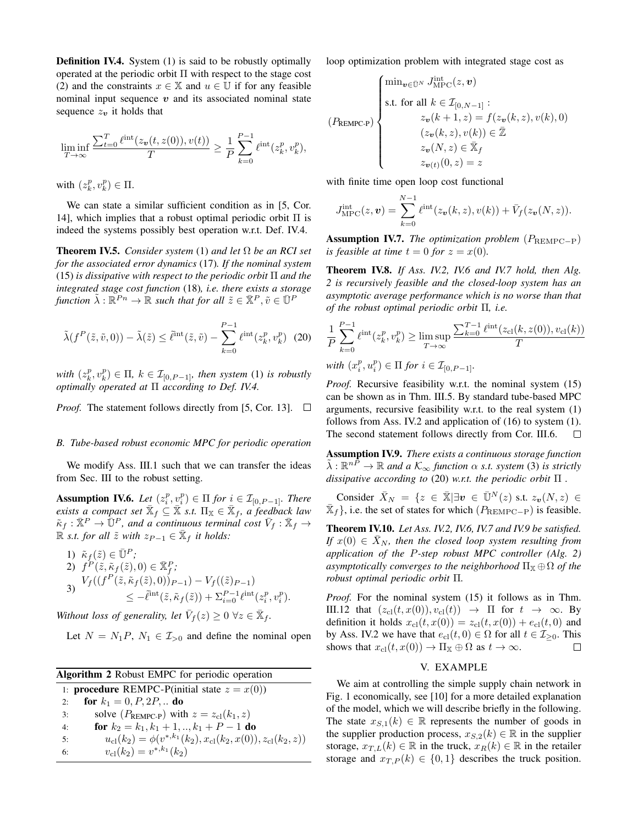**Definition IV.4.** System (1) is said to be robustly optimally operated at the periodic orbit  $\Pi$  with respect to the stage cost (2) and the constraints  $x \in \mathbb{X}$  and  $u \in \mathbb{U}$  if for any feasible nominal input sequence  $v$  and its associated nominal state sequence  $z_v$  it holds that

$$
\liminf_{T\rightarrow\infty}\frac{\sum_{t=0}^{T}\ell^{\text{int}}(z_{\boldsymbol{v}}(t,z(0)),v(t))}{T}\geq \frac{1}{P}\sum_{k=0}^{P-1}\ell^{\text{int}}(z_{k}^{p},v_{k}^{p}),
$$

with  $(z_k^p, v_k^p) \in \Pi$ .

We can state a similar sufficient condition as in [5, Cor. 14], which implies that a robust optimal periodic orbit  $\Pi$  is indeed the systems possibly best operation w.r.t. Def. IV.4.

Theorem IV.5. *Consider system* (1) *and let* Ω *be an RCI set for the associated error dynamics* (17)*. If the nominal system* (15) *is dissipative with respect to the periodic orbit* Π *and the integrated stage cost function* (18)*, i.e. there exists a storage*  $f$ *unction*  $\tilde{\lambda}: \mathbb{R}^{P_n} \to \mathbb{R}$  *such that for all*  $\tilde{z} \in \mathbb{R}^P, \tilde{v} \in \mathbb{U}^P$ 

$$
\tilde{\lambda}(f^P(\tilde{z}, \tilde{v}, 0)) - \tilde{\lambda}(\tilde{z}) \le \tilde{\ell}^{\text{int}}(\tilde{z}, \tilde{v}) - \sum_{k=0}^{P-1} \ell^{\text{int}}(z_k^p, v_k^p) \tag{20}
$$

 $with (z_k^p, v_k^p) \in \Pi, k \in \mathcal{I}_{[0, P-1]},$  *then system* (1) *is robustly optimally operated at* Π *according to Def. IV.4.*

*Proof.* The statement follows directly from [5, Cor. 13].  $\Box$ 

### *B. Tube-based robust economic MPC for periodic operation*

We modify Ass. III.1 such that we can transfer the ideas from Sec. III to the robust setting.

**Assumption IV.6.** *Let*  $(z_i^p, v_i^p) \in \Pi$  *for*  $i \in \mathcal{I}_{[0, P-1]}$ *. There*  $\vec{a}$  *exists a compact set*  $\overline{\mathbb{X}}_f \subseteq \overline{\mathbb{X}}$  *s.t.*  $\Pi_{\mathbb{X}} \in \overline{\mathbb{X}}_f$ *, a feedback law*  $\tilde\kappa_f:\bar{\mathbb{X}}^P\to\bar{\mathbb{U}}^P$ , and a continuous terminal cost  $\bar V_f:\bar{\mathbb{X}}_f\to$  $\mathbb{R}$  *s.t. for all*  $\tilde{z}$  *with*  $z_{P-1} \in \bar{\mathbb{X}}_f$  *it holds:* 

1) 
$$
\tilde{\kappa}_f(\tilde{z}) \in \bar{\mathbb{U}}^P
$$
;  
\n2)  $f^P(\tilde{z}, \tilde{\kappa}_f(\tilde{z}), 0) \in \bar{\mathbb{X}}_f^P$ ;  
\n3)  $V_f((f^P(\tilde{z}, \tilde{\kappa}_f(\tilde{z}), 0))_{P-1}) - V_f((\tilde{z})_{P-1})$   
\n $\leq -\tilde{\ell}^{\text{int}}(\tilde{z}, \tilde{\kappa}_f(\tilde{z})) + \sum_{i=0}^{P-1} \ell^{\text{int}}(z_i^p, v_i^p)$ .

*Without loss of generality, let*  $\overline{V}_f(z) \geq 0 \ \forall z \in \overline{\mathbb{X}}_f$ *.* 

Let  $N = N_1P$ ,  $N_1 \in I_{>0}$  and define the nominal open

| <b>Algorithm 2</b> Robust EMPC for periodic operation |                                                                                   |  |  |
|-------------------------------------------------------|-----------------------------------------------------------------------------------|--|--|
|                                                       | 1: <b>procedure</b> REMPC-P(initial state $z = x(0)$ )                            |  |  |
| 2:                                                    | for $k_1 = 0, P, 2P, $ do                                                         |  |  |
| 3:                                                    | solve ( $P_{\text{REMPC-P}}$ ) with $z = z_{\text{cl}}(k_1, z)$                   |  |  |
| 4:                                                    | for $k_2 = k_1, k_1 + 1, , k_1 + P - 1$ do                                        |  |  |
| 5:                                                    | $u_{\rm cl}(k_2) = \phi(v^{*,k_1}(k_2), x_{\rm cl}(k_2,x(0)), z_{\rm cl}(k_2,z))$ |  |  |
| 6:                                                    | $v_{\rm cl}(k_2) = v^{*,k_1}(k_2)$                                                |  |  |

loop optimization problem with integrated stage cost as

$$
(P_{\text{REMPC-P}})\left\{\begin{aligned} &\min_{\pmb{v}\in\bar{\mathbb{U}}^N}J^{\text{int}}_{\text{MPC}}(z,\pmb{v})\\ &\text{s.t. for all }k\in\mathcal{I}_{[0,N-1]}:\\ &z_{\pmb{v}}(k+1,z)=f(z_{\pmb{v}}(k,z),v(k),0)\\ &(z_{\pmb{v}}(k,z),v(k))\in\bar{\mathbb{Z}}\\ &z_{\pmb{v}}(N,z)\in\bar{\mathbb{X}}_f\\ &z_{\pmb{v}}(t)(0,z)=z \end{aligned}\right.
$$

with finite time open loop cost functional

$$
J_{\text{MPC}}^{\text{int}}(z,\boldsymbol{v})=\sum_{k=0}^{N-1}\ell^{\text{int}}(z_{\boldsymbol{v}}(k,z),v(k))+\bar{V}_f(z_{\boldsymbol{v}}(N,z)).
$$

**Assumption IV.7.** *The optimization problem*  $(P_{REMPC-P})$ *is feasible at time*  $t = 0$  *for*  $z = x(0)$ *.* 

Theorem IV.8. *If Ass. IV.2, IV.6 and IV.7 hold, then Alg. 2 is recursively feasible and the closed-loop system has an asymptotic average performance which is no worse than that of the robust optimal periodic orbit* Π*, i.e.*

$$
\begin{aligned} &\frac{1}{P}\sum_{k=0}^{P-1}\ell^{\textrm{int}}(z_{k}^{p},v_{k}^{p})\geq\limsup_{T\rightarrow\infty}\frac{\sum_{k=0}^{T-1}\ell^{\textrm{int}}(z_{\textrm{cl}}(k,z(0)),v_{\textrm{cl}}(k))}{T}\\ &\textrm{with}\ (x_{i}^{p},u_{i}^{p})\in\Pi\ for\ i\in\mathcal{I}_{[0,P-1]}. \end{aligned}
$$

*Proof.* Recursive feasibility w.r.t. the nominal system (15) can be shown as in Thm. III.5. By standard tube-based MPC arguments, recursive feasibility w.r.t. to the real system (1) follows from Ass. IV.2 and application of (16) to system (1). The second statement follows directly from Cor. III.6. П

Assumption IV.9. *There exists a continuous storage function*  $\tilde{\lambda} : \mathbb{R}^{n\tilde{P}} \to \mathbb{R}$  and a  $\mathcal{K}_{\infty}$  function  $\alpha$  *s.t.* system (3) is strictly *dissipative according to* (20) *w.r.t. the periodic orbit* Π *.*

Consider  $\bar{X}_N = \{z \in \bar{\mathbb{X}} | \exists v \in \bar{\mathbb{U}}^N(z) \text{ s.t. } z_v(N,z) \in \bar{\mathbb{X}}$  $\bar{\mathbb{X}}_f$ , i.e. the set of states for which  $(P_{\text{REMPC-P}})$  is feasible.

Theorem IV.10. *Let Ass. IV.2, IV.6, IV.7 and IV.9 be satisfied. If*  $x(0) \in X_N$ , then the closed loop system resulting from *application of the* P*-step robust MPC controller (Alg. 2) asymptotically converges to the neighborhood*  $\Pi_{\mathbb{X}} \oplus \Omega$  *of the robust optimal periodic orbit* Π*.*

*Proof.* For the nominal system (15) it follows as in Thm. III.12 that  $(z_{\text{cl}}(t, x(0)), v_{\text{cl}}(t)) \rightarrow \Pi$  for  $t \rightarrow \infty$ . By definition it holds  $x_{\text{cl}}(t, x(0)) = z_{\text{cl}}(t, x(0)) + e_{\text{cl}}(t, 0)$  and by Ass. IV.2 we have that  $e_{\text{cl}}(t, 0) \in \Omega$  for all  $t \in \mathcal{I}_{\geq 0}$ . This shows that  $x_{\text{cl}}(t, x(0)) \to \Pi_{\mathbb{X}} \oplus \Omega$  as  $t \to \infty$ .  $\Box$ 

#### V. EXAMPLE

We aim at controlling the simple supply chain network in Fig. 1 economically, see [10] for a more detailed explanation of the model, which we will describe briefly in the following. The state  $x_{S,1}(k) \in \mathbb{R}$  represents the number of goods in the supplier production process,  $x_{S,2}(k) \in \mathbb{R}$  in the supplier storage,  $x_{T,L}(k) \in \mathbb{R}$  in the truck,  $x_R(k) \in \mathbb{R}$  in the retailer storage and  $x_{T,P}(k) \in \{0,1\}$  describes the truck position.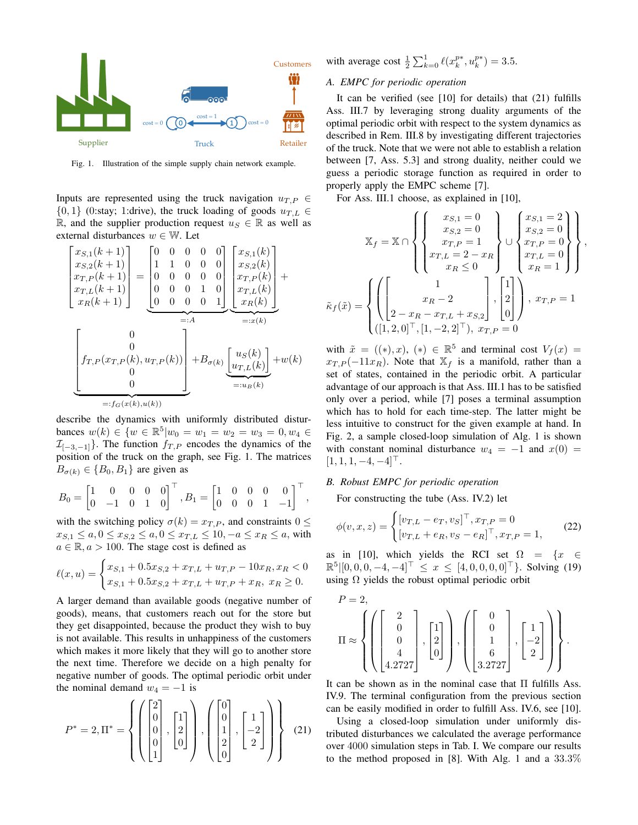

Fig. 1. Illustration of the simple supply chain network example.

Inputs are represented using the truck navigation  $u_{T,P} \in$  $\{0, 1\}$  (0:stay; 1:drive), the truck loading of goods  $u_{T,L} \in$ R, and the supplier production request  $u_S \in \mathbb{R}$  as well as external disturbances  $w \in \mathbb{W}$ . Let

$$
\begin{bmatrix}\nx_{S,1}(k+1) \\
x_{S,2}(k+1) \\
x_{T,P}(k+1) \\
x_R(k+1) \\
x_R(k+1)\n\end{bmatrix} = \begin{bmatrix}\n0 & 0 & 0 & 0 & 0 \\
1 & 1 & 0 & 0 & 0 \\
0 & 0 & 0 & 0 & 0 \\
0 & 0 & 0 & 1 & 0 \\
0 & 0 & 0 & 0 & 1\n\end{bmatrix} \begin{bmatrix}\nx_{S,1}(k) \\
x_{S,2}(k) \\
x_{T,P}(k) \\
x_{T,L}(k) \\
x_R(k)\n\end{bmatrix} + \n\begin{bmatrix}\n0 \\
x_R(k+1) \\
x_R(k)\n\end{bmatrix}
$$
\n
$$
=:\nA
$$
\n
$$
\begin{bmatrix}\n0 \\
f_{T,P}(x_{T,P}(k), u_{T,P}(k)) \\
0 \\
0\n\end{bmatrix} + B_{\sigma(k)} \underbrace{\begin{bmatrix}\nu_S(k) \\
u_{T,L}(k)\n\end{bmatrix}}_{=:u_B(k)} + w(k)
$$
\n
$$
=:\nf_S(x(k), u(k))
$$

describe the dynamics with uniformly distributed disturbances  $w(k) \in \{w \in \mathbb{R}^5 | w_0 = w_1 = w_2 = w_3 = 0, w_4 \in \mathbb{R}^5 \}$  $\mathcal{I}_{[-3,-1]}$ . The function  $f_{T,P}$  encodes the dynamics of the position of the truck on the graph, see Fig. 1. The matrices  $B_{\sigma(k)} \in \{B_0, B_1\}$  are given as

$$
B_0 = \begin{bmatrix} 1 & 0 & 0 & 0 & 0 \\ 0 & -1 & 0 & 1 & 0 \end{bmatrix}^\top, B_1 = \begin{bmatrix} 1 & 0 & 0 & 0 & 0 \\ 0 & 0 & 0 & 1 & -1 \end{bmatrix}^\top,
$$

with the switching policy  $\sigma(k) = x_{T,P}$ , and constraints  $0 \leq$  $x_{S,1} \le a, 0 \le x_{S,2} \le a, 0 \le x_{T,L} \le 10, -a \le x_R \le a$ , with  $a \in \mathbb{R}, a > 100$ . The stage cost is defined as

$$
\ell(x, u) = \begin{cases} x_{S,1} + 0.5x_{S,2} + x_{T,L} + u_{T,P} - 10x_R, x_R < 0\\ x_{S,1} + 0.5x_{S,2} + x_{T,L} + u_{T,P} + x_R, x_R \ge 0. \end{cases}
$$

A larger demand than available goods (negative number of goods), means, that customers reach out for the store but they get disappointed, because the product they wish to buy is not available. This results in unhappiness of the customers which makes it more likely that they will go to another store the next time. Therefore we decide on a high penalty for negative number of goods. The optimal periodic orbit under the nominal demand  $w_4 = -1$  is

$$
P^* = 2, \Pi^* = \left\{ \left( \begin{bmatrix} 2 \\ 0 \\ 0 \\ 0 \\ 1 \end{bmatrix}, \begin{bmatrix} 1 \\ 2 \\ 0 \\ 0 \end{bmatrix} \right), \left( \begin{bmatrix} 0 \\ 0 \\ 1 \\ 2 \\ 0 \end{bmatrix}, \begin{bmatrix} 1 \\ -2 \\ 2 \end{bmatrix} \right) \right\}
$$
(21)

with average cost  $\frac{1}{2} \sum_{k=0}^{1} \ell(x_k^{p*}, u_k^{p*}) = 3.5.$ 

## *A. EMPC for periodic operation*

It can be verified (see [10] for details) that (21) fulfills Ass. III.7 by leveraging strong duality arguments of the optimal periodic orbit with respect to the system dynamics as described in Rem. III.8 by investigating different trajectories of the truck. Note that we were not able to establish a relation between [7, Ass. 5.3] and strong duality, neither could we guess a periodic storage function as required in order to properly apply the EMPC scheme [7].

For Ass. III.1 choose, as explained in [10],

$$
\tilde{\mathbf{x}}_f = \mathbb{X} \cap \left\{ \left\{ \begin{aligned} x_{S,1} &= 0 \\ x_{S,2} &= 0 \\ x_{T,P} &= 1 \\ x_{T,L} &= 2 - x_R \\ x_R &\leq 0 \end{aligned} \right\} \cup \left\{ \begin{aligned} x_{S,1} &= 2 \\ x_{S,2} &= 0 \\ x_{T,P} &= 0 \\ x_{T,L} &= 0 \\ x_R &= 1 \end{aligned} \right\} \right\},
$$
\n
$$
\tilde{\kappa}_f(\tilde{x}) = \left\{ \left( \left[ \begin{aligned} 1 \\ x_R &= 2 \\ 2 - x_R - x_{T,L} + x_{S,2} \end{aligned} \right], \left[ \begin{aligned} 1 \\ 2 \\ 0 \end{aligned} \right], x_{T,P} &= 1 \\ x_{T,P} &= 1 \end{aligned} \right\},
$$
\n
$$
\tilde{\kappa}_f(\tilde{x}) = \left\{ \left( \left[ \begin{aligned} 1 \\ 2 - x_R - x_{T,L} + x_{S,2} \end{aligned} \right], \left[ \begin{aligned} 1 \\ 2 \\ 0 \end{aligned} \right], x_{T,P} &= 0 \end{aligned} \right\}.
$$

with  $\tilde{x} = ((*) , x)$ ,  $(*) \in \mathbb{R}^5$  and terminal cost  $V_f(x) =$  $x_{T,P}(-11x_R)$ . Note that  $\mathbb{X}_f$  is a manifold, rather than a set of states, contained in the periodic orbit. A particular advantage of our approach is that Ass. III.1 has to be satisfied only over a period, while [7] poses a terminal assumption which has to hold for each time-step. The latter might be less intuitive to construct for the given example at hand. In Fig. 2, a sample closed-loop simulation of Alg. 1 is shown with constant nominal disturbance  $w_4 = -1$  and  $x(0) =$  $[1, 1, 1, -4, -4]$ <sup> $\perp$ </sup>.

## *B. Robust EMPC for periodic operation*

For constructing the tube (Ass. IV.2) let

$$
\phi(v,x,z) = \begin{cases} [v_{T,L} - e_T, v_S]^\top, x_{T,P} = 0\\ [v_{T,L} + e_R, v_S - e_R]^\top, x_{T,P} = 1, \end{cases}
$$
(22)

as in [10], which yields the RCI set  $\Omega = \{x \in$  $\mathbb{R}^5|[0,0,0,-4,-4]^{\top} \leq x \leq [4,0,0,0,0]^{\top}$ . Solving (19) using  $\Omega$  yields the robust optimal periodic orbit

$$
P = 2,
$$
  
\n
$$
\Pi \approx \left\{ \left( \begin{bmatrix} 2 \\ 0 \\ 0 \\ 4 \\ 4.2727 \end{bmatrix}, \begin{bmatrix} 1 \\ 2 \\ 0 \end{bmatrix} \right), \left( \begin{bmatrix} 0 \\ 0 \\ 1 \\ 6 \\ 3.2727 \end{bmatrix}, \begin{bmatrix} 1 \\ -2 \\ 2 \end{bmatrix} \right) \right\}.
$$

It can be shown as in the nominal case that Π fulfills Ass. IV.9. The terminal configuration from the previous section can be easily modified in order to fulfill Ass. IV.6, see [10].

Using a closed-loop simulation under uniformly distributed disturbances we calculated the average performance over 4000 simulation steps in Tab. I. We compare our results to the method proposed in [8]. With Alg. 1 and a 33.3%